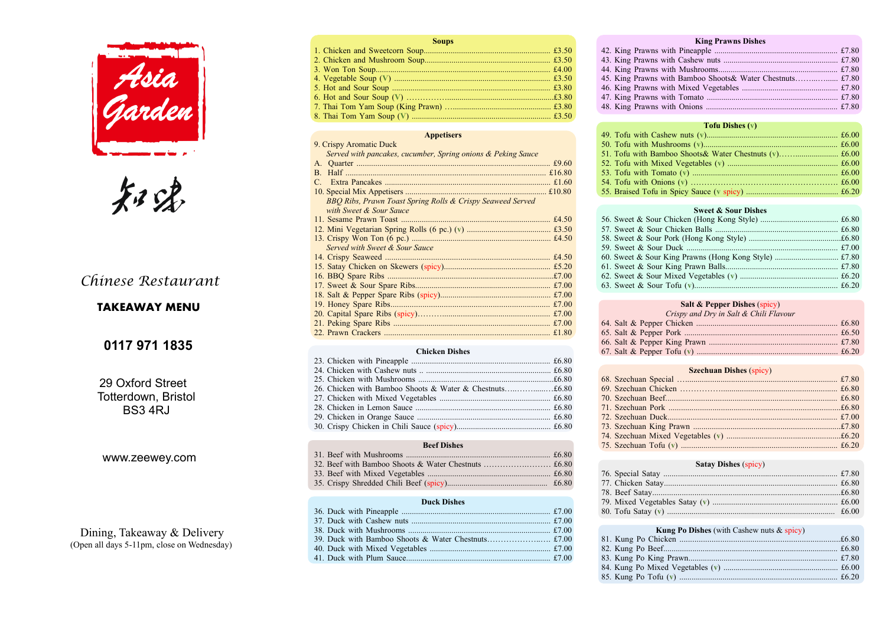

知家

| a sa kacamatan ing Kabupatèn Kabupatèn Kabupatèn Kabupatèn Kabupatèn Kabupatèn Kabupatèn Kabupatèn Kabupatèn K<br><b>Soups</b> |
|--------------------------------------------------------------------------------------------------------------------------------|
|                                                                                                                                |
|                                                                                                                                |
|                                                                                                                                |
|                                                                                                                                |
|                                                                                                                                |
|                                                                                                                                |
|                                                                                                                                |
|                                                                                                                                |

#### **Appetisers**

|              | 9. Crispy Aromatic Duck                                      |  |
|--------------|--------------------------------------------------------------|--|
|              | Served with pancakes, cucumber, Spring onions & Peking Sauce |  |
|              |                                                              |  |
| $\mathbf{B}$ |                                                              |  |
|              |                                                              |  |
|              |                                                              |  |
|              | BBQ Ribs, Prawn Toast Spring Rolls & Crispy Seaweed Served   |  |
|              | with Sweet & Sour Sauce                                      |  |
|              |                                                              |  |
|              |                                                              |  |
|              |                                                              |  |
|              | Served with Sweet & Sour Sauce                               |  |
|              |                                                              |  |
|              |                                                              |  |
|              |                                                              |  |
|              |                                                              |  |
|              |                                                              |  |
|              |                                                              |  |
|              |                                                              |  |
|              |                                                              |  |
|              |                                                              |  |
|              |                                                              |  |

#### **Chicken Dishes**

#### **Beef Dishes**

#### **Duck Dishes**

49. Tofu with Cashe 50. Tofu with Mush 51. Tofu with Bamb

52. Tofu with Mixed

53. Tofu with Toma 54. Tofu with Onior

55. Braised Tofu in

56. Sweet  $&$  Sour C 57. Sweet & Sour C 58. Sweet & Sour P 59. Sweet & Sour I 60. Sweet  $&$  Sour K 61. Sweet  $&$  Sour K 62. Sweet & Sour M 63. Sweet & Sour <sup>1</sup>

64. Salt  $&$  Pepper  $\Omega$ 65. Salt & Pepper I 66. Salt & Pepper K 67. Salt & Pepper To

68. Szechuan Specia 69. Szechuan Chicke 70. Szechuan Beef... 71. Szechuan Pork 72. Szechuan Duck. 73. Szechuan King

74. Szechuan Mixed

75. Szechuan Tofu (

76. Special Satay .... 77. Chicken Satay... 78. Beef Satav.........

79. Mixed Vegetable

80. Tofu Satay (**v**) ...

#### **King Prawns Dishes** 42. King Prawns with Pineapple ............................................................ £7.80 43. King Prawns with Cashew nuts ........................................................ £7.80 44. King Prawns with Mushrooms.......................................................... £7.80 45. King Prawns with Bamboo Shoots& Water Chestnuts……...…...... £7.80 46. King Prawns with Mixed Vegetables ............................................... £7.80 47. King Prawns with Tomato ................................................................ £7.80 48. King Prawns with Onions ................................................................ £7.80

#### **Tofu Dishes (v)**

### **Sweet & Sour Dishes**

#### **Salt & Pepper Dishes** (spicy)

| Crispy and Dry in Salt & Chili Flavour |  |
|----------------------------------------|--|
|                                        |  |
|                                        |  |
|                                        |  |
| Tofu(x)<br>f620                        |  |

### **Szechuan Dishes** (spicy)

#### **Satay Dishes** (spicy)

# **Kung Po Dishes** (with Cashew nuts & spicy)

81. Kung Po Chick 82. Kung Po Beef... 83. Kung Po King I 84. Kung Po Mixed 85. Kung Po Tofu (

# *Chinese Restaurant*

29 Oxford Street Totterdown, Bristol BS3 4RJ

# **0117 971 1835**

# TAKEAWAY MENU

 Dining, Takeaway & Delivery (Open all days 5-11pm, close on Wednesday)

### www.zeewey.com